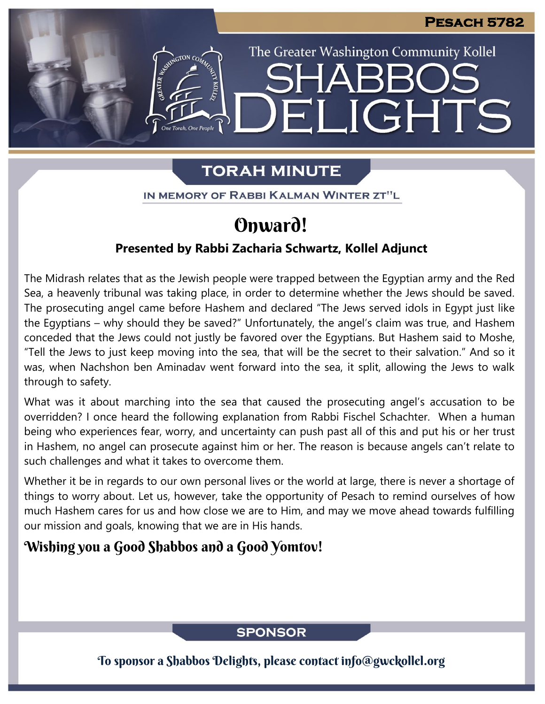The Greater Washington Community Kollel

LIGHTS

# **TORAH MINUTE**

EI

IN MEMORY OF RABBI KALMAN WINTER ZT"L

# Onward!

## **Presented by Rabbi Zacharia Schwartz, Kollel Adjunct**

The Midrash relates that as the Jewish people were trapped between the Egyptian army and the Red Sea, a heavenly tribunal was taking place, in order to determine whether the Jews should be saved. The prosecuting angel came before Hashem and declared "The Jews served idols in Egypt just like the Egyptians – why should they be saved?" Unfortunately, the angel's claim was true, and Hashem conceded that the Jews could not justly be favored over the Egyptians. But Hashem said to Moshe, "Tell the Jews to just keep moving into the sea, that will be the secret to their salvation." And so it was, when Nachshon ben Aminadav went forward into the sea, it split, allowing the Jews to walk through to safety.

What was it about marching into the sea that caused the prosecuting angel's accusation to be overridden? I once heard the following explanation from Rabbi Fischel Schachter. When a human being who experiences fear, worry, and uncertainty can push past all of this and put his or her trust in Hashem, no angel can prosecute against him or her. The reason is because angels can't relate to such challenges and what it takes to overcome them.

Whether it be in regards to our own personal lives or the world at large, there is never a shortage of things to worry about. Let us, however, take the opportunity of Pesach to remind ourselves of how much Hashem cares for us and how close we are to Him, and may we move ahead towards fulfilling our mission and goals, knowing that we are in His hands.

# Wishing you a Good Shabbos and a Good Yomtov!

## **SPONSOR**

To sponsor a Shabbos Delights, please contact info@gwckollel.org